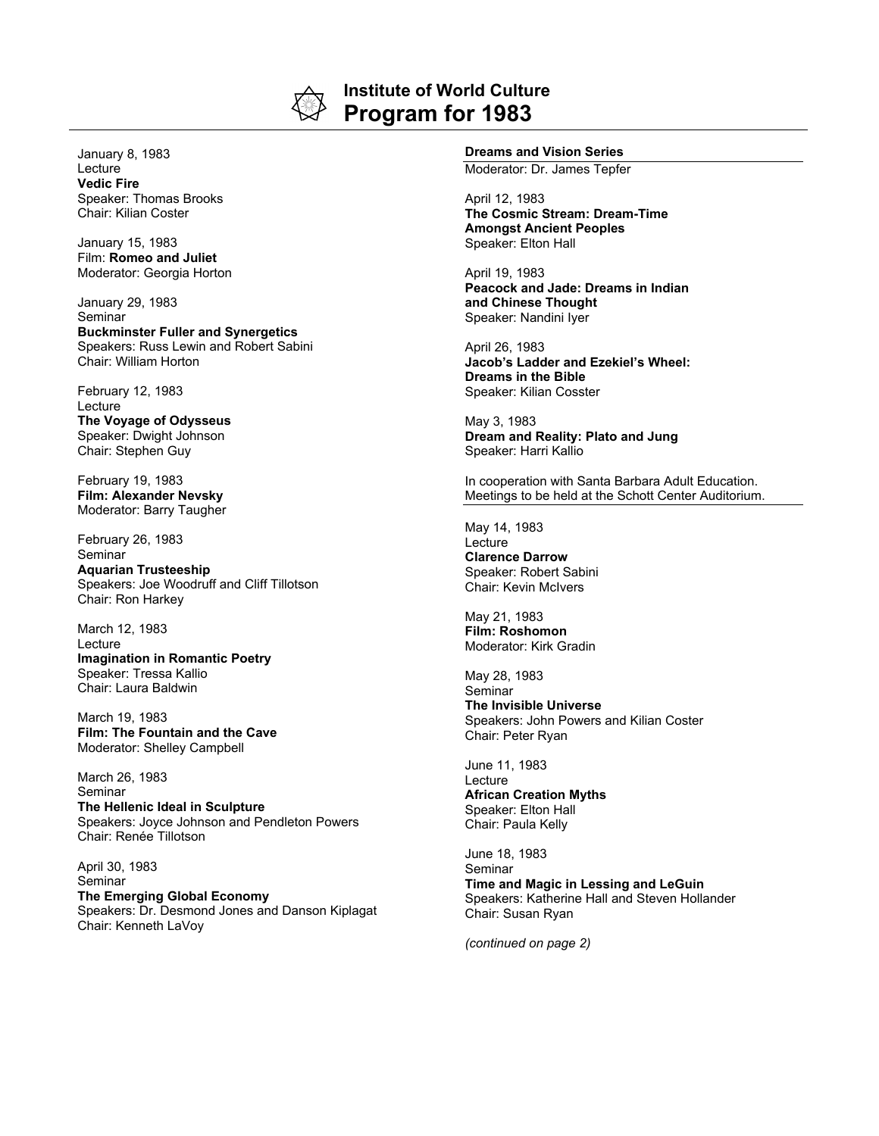

## **Institute of World Culture Program for 1983**

January 8, 1983 Lecture **Vedic Fire** Speaker: Thomas Brooks Chair: Kilian Coster

January 15, 1983 Film: **Romeo and Juliet** Moderator: Georgia Horton

January 29, 1983 Seminar **Buckminster Fuller and Synergetics** Speakers: Russ Lewin and Robert Sabini Chair: William Horton

February 12, 1983 Lecture **The Voyage of Odysseus** Speaker: Dwight Johnson Chair: Stephen Guy

February 19, 1983 **Film: Alexander Nevsky** Moderator: Barry Taugher

February 26, 1983 **Seminar Aquarian Trusteeship** Speakers: Joe Woodruff and Cliff Tillotson Chair: Ron Harkey

March 12, 1983 Lecture **Imagination in Romantic Poetry** Speaker: Tressa Kallio Chair: Laura Baldwin

March 19, 1983 **Film: The Fountain and the Cave** Moderator: Shelley Campbell

March 26, 1983 Seminar **The Hellenic Ideal in Sculpture** Speakers: Joyce Johnson and Pendleton Powers Chair: Renée Tillotson

April 30, 1983 Seminar **The Emerging Global Economy** Speakers: Dr. Desmond Jones and Danson Kiplagat Chair: Kenneth LaVoy

## **Dreams and Vision Series**

Moderator: Dr. James Tepfer

April 12, 1983 **The Cosmic Stream: Dream-Time Amongst Ancient Peoples** Speaker: Elton Hall

April 19, 1983 **Peacock and Jade: Dreams in Indian and Chinese Thought** Speaker: Nandini Iyer

April 26, 1983 **Jacob's Ladder and Ezekiel's Wheel: Dreams in the Bible** Speaker: Kilian Cosster

May 3, 1983 **Dream and Reality: Plato and Jung** Speaker: Harri Kallio

In cooperation with Santa Barbara Adult Education. Meetings to be held at the Schott Center Auditorium.

May 14, 1983 Lecture **Clarence Darrow** Speaker: Robert Sabini Chair: Kevin McIvers

May 21, 1983 **Film: Roshomon** Moderator: Kirk Gradin

May 28, 1983 Seminar **The Invisible Universe** Speakers: John Powers and Kilian Coster Chair: Peter Ryan

June 11, 1983 Lecture **African Creation Myths** Speaker: Elton Hall Chair: Paula Kelly

June 18, 1983 Seminar **Time and Magic in Lessing and LeGuin** Speakers: Katherine Hall and Steven Hollander Chair: Susan Ryan

*(continued on page 2)*